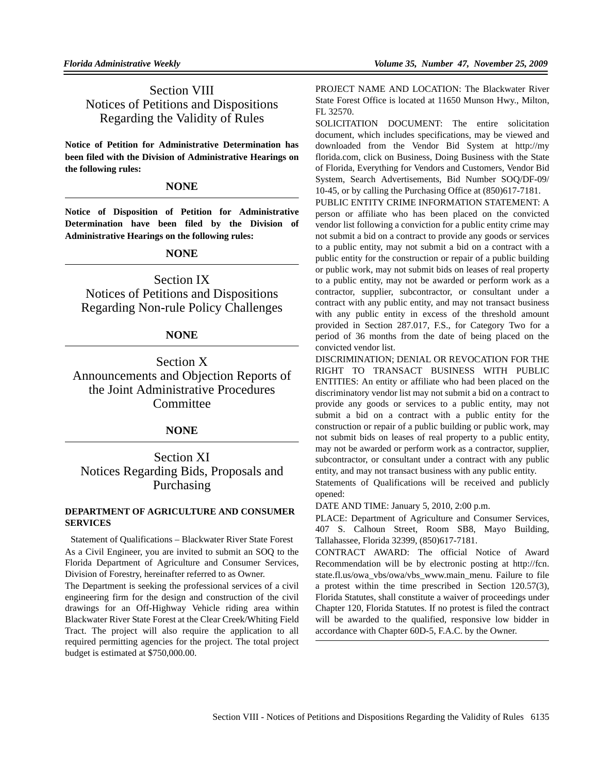# Section VIII Notices of Petitions and Dispositions Regarding the Validity of Rules

**Notice of Petition for Administrative Determination has been filed with the Division of Administrative Hearings on the following rules:**

### **NONE**

**Notice of Disposition of Petition for Administrative Determination have been filed by the Division of Administrative Hearings on the following rules:**

## **NONE**

Section IX Notices of Petitions and Dispositions Regarding Non-rule Policy Challenges

## **NONE**

Section X Announcements and Objection Reports of the Joint Administrative Procedures **Committee** 

## **NONE**

# Section XI Notices Regarding Bids, Proposals and Purchasing

### **DEPARTMENT OF AGRICULTURE AND CONSUMER SERVICES**

Statement of Qualifications – Blackwater River State Forest As a Civil Engineer, you are invited to submit an SOQ to the Florida Department of Agriculture and Consumer Services, Division of Forestry, hereinafter referred to as Owner.

The Department is seeking the professional services of a civil engineering firm for the design and construction of the civil drawings for an Off-Highway Vehicle riding area within Blackwater River State Forest at the Clear Creek/Whiting Field Tract. The project will also require the application to all required permitting agencies for the project. The total project budget is estimated at \$750,000.00.

PROJECT NAME AND LOCATION: The Blackwater River State Forest Office is located at 11650 Munson Hwy., Milton, FL 32570.

SOLICITATION DOCUMENT: The entire solicitation document, which includes specifications, may be viewed and downloaded from the Vendor Bid System at http://my florida.com, click on Business, Doing Business with the State of Florida, Everything for Vendors and Customers, Vendor Bid System, Search Advertisements, Bid Number SOQ/DF-09/ 10-45, or by calling the Purchasing Office at (850)617-7181.

PUBLIC ENTITY CRIME INFORMATION STATEMENT: A person or affiliate who has been placed on the convicted vendor list following a conviction for a public entity crime may not submit a bid on a contract to provide any goods or services to a public entity, may not submit a bid on a contract with a public entity for the construction or repair of a public building or public work, may not submit bids on leases of real property to a public entity, may not be awarded or perform work as a contractor, supplier, subcontractor, or consultant under a contract with any public entity, and may not transact business with any public entity in excess of the threshold amount provided in Section 287.017, F.S., for Category Two for a period of 36 months from the date of being placed on the convicted vendor list.

DISCRIMINATION; DENIAL OR REVOCATION FOR THE RIGHT TO TRANSACT BUSINESS WITH PUBLIC ENTITIES: An entity or affiliate who had been placed on the discriminatory vendor list may not submit a bid on a contract to provide any goods or services to a public entity, may not submit a bid on a contract with a public entity for the construction or repair of a public building or public work, may not submit bids on leases of real property to a public entity, may not be awarded or perform work as a contractor, supplier, subcontractor, or consultant under a contract with any public entity, and may not transact business with any public entity.

Statements of Qualifications will be received and publicly opened:

DATE AND TIME: January 5, 2010, 2:00 p.m.

PLACE: Department of Agriculture and Consumer Services, 407 S. Calhoun Street, Room SB8, Mayo Building, Tallahassee, Florida 32399, (850)617-7181.

CONTRACT AWARD: The official Notice of Award Recommendation will be by electronic posting at http://fcn. state.fl.us/owa\_vbs/owa/vbs\_www.main\_menu. Failure to file a protest within the time prescribed in Section 120.57(3), Florida Statutes, shall constitute a waiver of proceedings under Chapter 120, Florida Statutes. If no protest is filed the contract will be awarded to the qualified, responsive low bidder in accordance with Chapter 60D-5, F.A.C. by the Owner.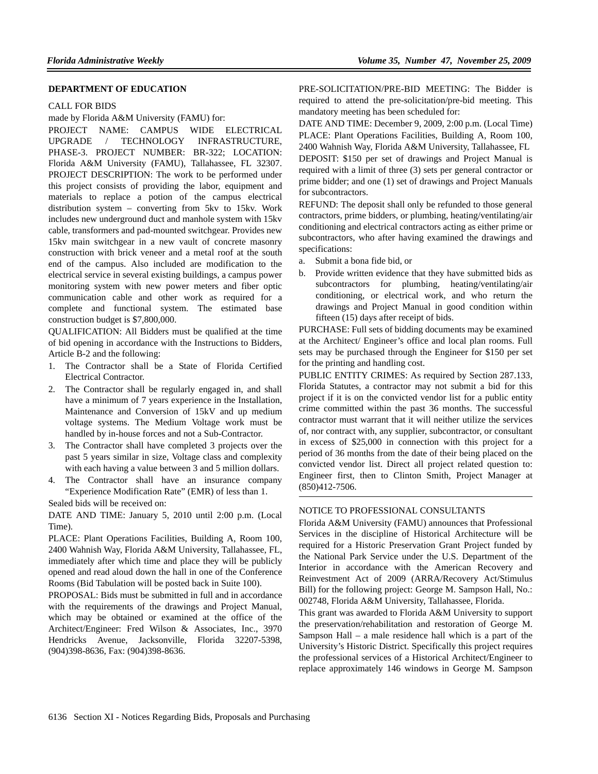#### **DEPARTMENT OF EDUCATION**

#### CALL FOR BIDS

made by Florida A&M University (FAMU) for:

PROJECT NAME: CAMPUS WIDE ELECTRICAL UPGRADE / TECHNOLOGY INFRASTRUCTURE, PHASE-3. PROJECT NUMBER: BR-322; LOCATION: Florida A&M University (FAMU), Tallahassee, FL 32307. PROJECT DESCRIPTION: The work to be performed under this project consists of providing the labor, equipment and materials to replace a potion of the campus electrical distribution system – converting from 5kv to 15kv. Work includes new underground duct and manhole system with 15kv cable, transformers and pad-mounted switchgear. Provides new 15kv main switchgear in a new vault of concrete masonry construction with brick veneer and a metal roof at the south end of the campus. Also included are modification to the electrical service in several existing buildings, a campus power monitoring system with new power meters and fiber optic communication cable and other work as required for a complete and functional system. The estimated base construction budget is \$7,800,000.

QUALIFICATION: All Bidders must be qualified at the time of bid opening in accordance with the Instructions to Bidders, Article B-2 and the following:

- 1. The Contractor shall be a State of Florida Certified Electrical Contractor.
- 2. The Contractor shall be regularly engaged in, and shall have a minimum of 7 years experience in the Installation, Maintenance and Conversion of 15kV and up medium voltage systems. The Medium Voltage work must be handled by in-house forces and not a Sub-Contractor.
- 3. The Contractor shall have completed 3 projects over the past 5 years similar in size, Voltage class and complexity with each having a value between 3 and 5 million dollars.
- 4. The Contractor shall have an insurance company "Experience Modification Rate" (EMR) of less than 1.

Sealed bids will be received on:

DATE AND TIME: January 5, 2010 until 2:00 p.m. (Local Time).

PLACE: Plant Operations Facilities, Building A, Room 100, 2400 Wahnish Way, Florida A&M University, Tallahassee, FL, immediately after which time and place they will be publicly opened and read aloud down the hall in one of the Conference Rooms (Bid Tabulation will be posted back in Suite 100).

PROPOSAL: Bids must be submitted in full and in accordance with the requirements of the drawings and Project Manual, which may be obtained or examined at the office of the Architect/Engineer: Fred Wilson & Associates, Inc., 3970 Hendricks Avenue, Jacksonville, Florida 32207-5398, (904)398-8636, Fax: (904)398-8636.

PRE-SOLICITATION/PRE-BID MEETING: The Bidder is required to attend the pre-solicitation/pre-bid meeting. This mandatory meeting has been scheduled for:

DATE AND TIME: December 9, 2009, 2:00 p.m. (Local Time) PLACE: Plant Operations Facilities, Building A, Room 100, 2400 Wahnish Way, Florida A&M University, Tallahassee, FL DEPOSIT: \$150 per set of drawings and Project Manual is required with a limit of three (3) sets per general contractor or prime bidder; and one (1) set of drawings and Project Manuals for subcontractors.

REFUND: The deposit shall only be refunded to those general contractors, prime bidders, or plumbing, heating/ventilating/air conditioning and electrical contractors acting as either prime or subcontractors, who after having examined the drawings and specifications:

- a. Submit a bona fide bid, or
- b. Provide written evidence that they have submitted bids as subcontractors for plumbing, heating/ventilating/air conditioning, or electrical work, and who return the drawings and Project Manual in good condition within fifteen (15) days after receipt of bids.

PURCHASE: Full sets of bidding documents may be examined at the Architect/ Engineer's office and local plan rooms. Full sets may be purchased through the Engineer for \$150 per set for the printing and handling cost.

PUBLIC ENTITY CRIMES: As required by Section 287.133, Florida Statutes, a contractor may not submit a bid for this project if it is on the convicted vendor list for a public entity crime committed within the past 36 months. The successful contractor must warrant that it will neither utilize the services of, nor contract with, any supplier, subcontractor, or consultant in excess of \$25,000 in connection with this project for a period of 36 months from the date of their being placed on the convicted vendor list. Direct all project related question to: Engineer first, then to Clinton Smith, Project Manager at (850)412-7506.

#### NOTICE TO PROFESSIONAL CONSULTANTS

Florida A&M University (FAMU) announces that Professional Services in the discipline of Historical Architecture will be required for a Historic Preservation Grant Project funded by the National Park Service under the U.S. Department of the Interior in accordance with the American Recovery and Reinvestment Act of 2009 (ARRA/Recovery Act/Stimulus Bill) for the following project: George M. Sampson Hall, No.: 002748, Florida A&M University, Tallahassee, Florida.

This grant was awarded to Florida A&M University to support the preservation/rehabilitation and restoration of George M. Sampson Hall – a male residence hall which is a part of the University's Historic District. Specifically this project requires the professional services of a Historical Architect/Engineer to replace approximately 146 windows in George M. Sampson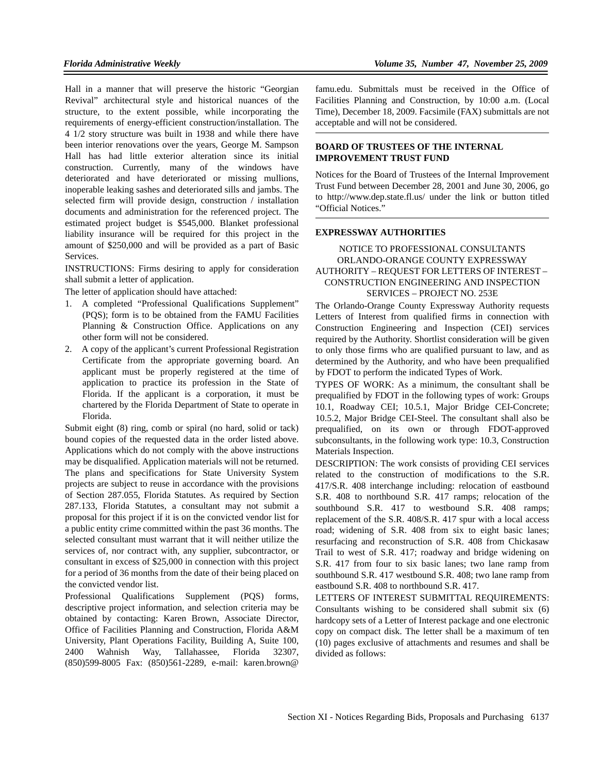Hall in a manner that will preserve the historic "Georgian Revival" architectural style and historical nuances of the structure, to the extent possible, while incorporating the requirements of energy-efficient construction/installation. The 4 1/2 story structure was built in 1938 and while there have been interior renovations over the years, George M. Sampson Hall has had little exterior alteration since its initial construction. Currently, many of the windows have deteriorated and have deteriorated or missing mullions, inoperable leaking sashes and deteriorated sills and jambs. The selected firm will provide design, construction / installation documents and administration for the referenced project. The estimated project budget is \$545,000. Blanket professional liability insurance will be required for this project in the amount of \$250,000 and will be provided as a part of Basic Services.

INSTRUCTIONS: Firms desiring to apply for consideration shall submit a letter of application.

The letter of application should have attached:

- 1. A completed "Professional Qualifications Supplement" (PQS); form is to be obtained from the FAMU Facilities Planning & Construction Office. Applications on any other form will not be considered.
- 2. A copy of the applicant's current Professional Registration Certificate from the appropriate governing board. An applicant must be properly registered at the time of application to practice its profession in the State of Florida. If the applicant is a corporation, it must be chartered by the Florida Department of State to operate in Florida.

Submit eight (8) ring, comb or spiral (no hard, solid or tack) bound copies of the requested data in the order listed above. Applications which do not comply with the above instructions may be disqualified. Application materials will not be returned. The plans and specifications for State University System projects are subject to reuse in accordance with the provisions of Section 287.055, Florida Statutes. As required by Section 287.133, Florida Statutes, a consultant may not submit a proposal for this project if it is on the convicted vendor list for a public entity crime committed within the past 36 months. The selected consultant must warrant that it will neither utilize the services of, nor contract with, any supplier, subcontractor, or consultant in excess of \$25,000 in connection with this project for a period of 36 months from the date of their being placed on the convicted vendor list.

Professional Qualifications Supplement (PQS) forms, descriptive project information, and selection criteria may be obtained by contacting: Karen Brown, Associate Director, Office of Facilities Planning and Construction, Florida A&M University, Plant Operations Facility, Building A, Suite 100, 2400 Wahnish Way, Tallahassee, Florida 32307, (850)599-8005 Fax: (850)561-2289, e-mail: karen.brown@

famu.edu. Submittals must be received in the Office of Facilities Planning and Construction, by 10:00 a.m. (Local Time), December 18, 2009. Facsimile (FAX) submittals are not acceptable and will not be considered.

### **BOARD OF TRUSTEES OF THE INTERNAL IMPROVEMENT TRUST FUND**

Notices for the Board of Trustees of the Internal Improvement Trust Fund between December 28, 2001 and June 30, 2006, go to http://www.dep.state.fl.us/ under the link or button titled "Official Notices."

### **EXPRESSWAY AUTHORITIES**

### NOTICE TO PROFESSIONAL CONSULTANTS ORLANDO-ORANGE COUNTY EXPRESSWAY AUTHORITY – REQUEST FOR LETTERS OF INTEREST – CONSTRUCTION ENGINEERING AND INSPECTION SERVICES – PROJECT NO. 253E

The Orlando-Orange County Expressway Authority requests Letters of Interest from qualified firms in connection with Construction Engineering and Inspection (CEI) services required by the Authority. Shortlist consideration will be given to only those firms who are qualified pursuant to law, and as determined by the Authority, and who have been prequalified by FDOT to perform the indicated Types of Work.

TYPES OF WORK: As a minimum, the consultant shall be prequalified by FDOT in the following types of work: Groups 10.1, Roadway CEI; 10.5.1, Major Bridge CEI-Concrete; 10.5.2, Major Bridge CEI-Steel. The consultant shall also be prequalified, on its own or through FDOT-approved subconsultants, in the following work type: 10.3, Construction Materials Inspection.

DESCRIPTION: The work consists of providing CEI services related to the construction of modifications to the S.R. 417/S.R. 408 interchange including: relocation of eastbound S.R. 408 to northbound S.R. 417 ramps; relocation of the southbound S.R. 417 to westbound S.R. 408 ramps; replacement of the S.R. 408/S.R. 417 spur with a local access road; widening of S.R. 408 from six to eight basic lanes; resurfacing and reconstruction of S.R. 408 from Chickasaw Trail to west of S.R. 417; roadway and bridge widening on S.R. 417 from four to six basic lanes; two lane ramp from southbound S.R. 417 westbound S.R. 408; two lane ramp from eastbound S.R. 408 to northbound S.R. 417.

LETTERS OF INTEREST SUBMITTAL REQUIREMENTS: Consultants wishing to be considered shall submit six (6) hardcopy sets of a Letter of Interest package and one electronic copy on compact disk. The letter shall be a maximum of ten (10) pages exclusive of attachments and resumes and shall be divided as follows: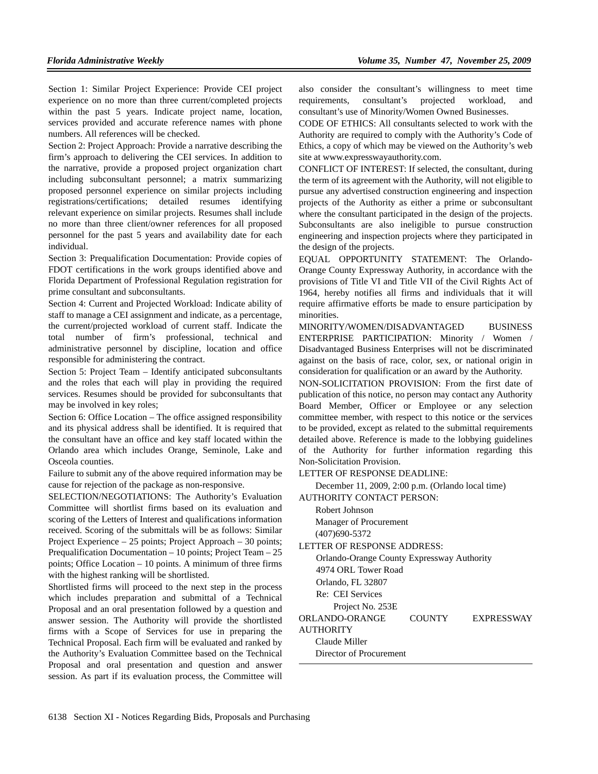Section 1: Similar Project Experience: Provide CEI project experience on no more than three current/completed projects within the past 5 years. Indicate project name, location, services provided and accurate reference names with phone numbers. All references will be checked.

Section 2: Project Approach: Provide a narrative describing the firm's approach to delivering the CEI services. In addition to the narrative, provide a proposed project organization chart including subconsultant personnel; a matrix summarizing proposed personnel experience on similar projects including registrations/certifications; detailed resumes identifying relevant experience on similar projects. Resumes shall include no more than three client/owner references for all proposed personnel for the past 5 years and availability date for each individual.

Section 3: Prequalification Documentation: Provide copies of FDOT certifications in the work groups identified above and Florida Department of Professional Regulation registration for prime consultant and subconsultants.

Section 4: Current and Projected Workload: Indicate ability of staff to manage a CEI assignment and indicate, as a percentage, the current/projected workload of current staff. Indicate the total number of firm's professional, technical and administrative personnel by discipline, location and office responsible for administering the contract.

Section 5: Project Team – Identify anticipated subconsultants and the roles that each will play in providing the required services. Resumes should be provided for subconsultants that may be involved in key roles;

Section 6: Office Location – The office assigned responsibility and its physical address shall be identified. It is required that the consultant have an office and key staff located within the Orlando area which includes Orange, Seminole, Lake and Osceola counties.

Failure to submit any of the above required information may be cause for rejection of the package as non-responsive.

SELECTION/NEGOTIATIONS: The Authority's Evaluation Committee will shortlist firms based on its evaluation and scoring of the Letters of Interest and qualifications information received. Scoring of the submittals will be as follows: Similar Project Experience – 25 points; Project Approach – 30 points; Prequalification Documentation – 10 points; Project Team – 25 points; Office Location – 10 points. A minimum of three firms with the highest ranking will be shortlisted.

Shortlisted firms will proceed to the next step in the process which includes preparation and submittal of a Technical Proposal and an oral presentation followed by a question and answer session. The Authority will provide the shortlisted firms with a Scope of Services for use in preparing the Technical Proposal. Each firm will be evaluated and ranked by the Authority's Evaluation Committee based on the Technical Proposal and oral presentation and question and answer session. As part if its evaluation process, the Committee will also consider the consultant's willingness to meet time requirements, consultant's projected workload, and consultant's use of Minority/Women Owned Businesses.

CODE OF ETHICS: All consultants selected to work with the Authority are required to comply with the Authority's Code of Ethics, a copy of which may be viewed on the Authority's web site at www.expresswayauthority.com.

CONFLICT OF INTEREST: If selected, the consultant, during the term of its agreement with the Authority, will not eligible to pursue any advertised construction engineering and inspection projects of the Authority as either a prime or subconsultant where the consultant participated in the design of the projects. Subconsultants are also ineligible to pursue construction engineering and inspection projects where they participated in the design of the projects.

EQUAL OPPORTUNITY STATEMENT: The Orlando-Orange County Expressway Authority, in accordance with the provisions of Title VI and Title VII of the Civil Rights Act of 1964, hereby notifies all firms and individuals that it will require affirmative efforts be made to ensure participation by minorities.

MINORITY/WOMEN/DISADVANTAGED BUSINESS ENTERPRISE PARTICIPATION: Minority / Women / Disadvantaged Business Enterprises will not be discriminated against on the basis of race, color, sex, or national origin in consideration for qualification or an award by the Authority.

NON-SOLICITATION PROVISION: From the first date of publication of this notice, no person may contact any Authority Board Member, Officer or Employee or any selection committee member, with respect to this notice or the services to be provided, except as related to the submittal requirements detailed above. Reference is made to the lobbying guidelines of the Authority for further information regarding this Non-Solicitation Provision.

LETTER OF RESPONSE DEADLINE:

December 11, 2009, 2:00 p.m. (Orlando local time)

AUTHORITY CONTACT PERSON:

Robert Johnson Manager of Procurement (407)690-5372

LETTER OF RESPONSE ADDRESS:

Orlando-Orange County Expressway Authority

4974 ORL Tower Road

Orlando, FL 32807

Re: CEI Services

Project No. 253E

ORLANDO-ORANGE COUNTY EXPRESSWAY

**AUTHORITY** Claude Miller

Director of Procurement